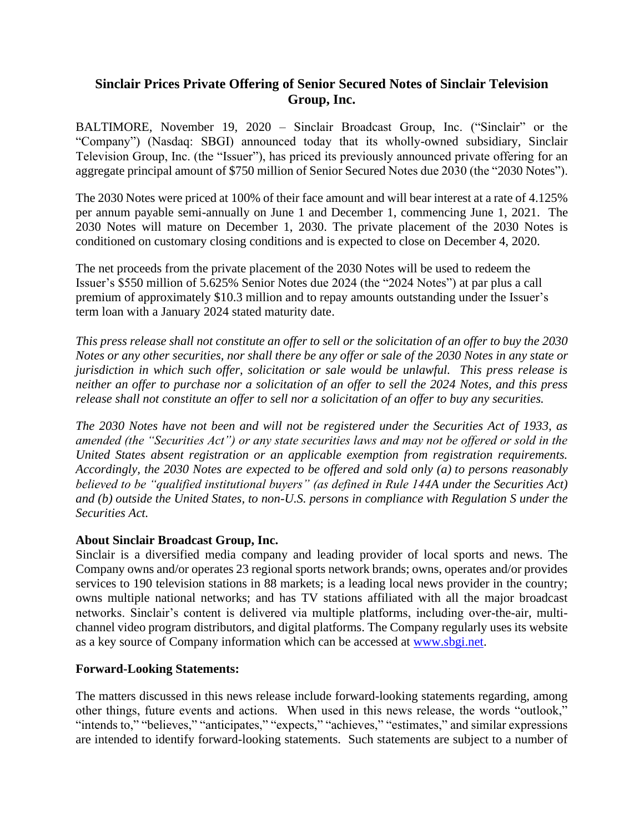## **Sinclair Prices Private Offering of Senior Secured Notes of Sinclair Television Group, Inc.**

BALTIMORE, November 19, 2020 – Sinclair Broadcast Group, Inc. ("Sinclair" or the "Company") (Nasdaq: SBGI) announced today that its wholly-owned subsidiary, Sinclair Television Group, Inc. (the "Issuer"), has priced its previously announced private offering for an aggregate principal amount of \$750 million of Senior Secured Notes due 2030 (the "2030 Notes").

The 2030 Notes were priced at 100% of their face amount and will bear interest at a rate of 4.125% per annum payable semi-annually on June 1 and December 1, commencing June 1, 2021. The 2030 Notes will mature on December 1, 2030. The private placement of the 2030 Notes is conditioned on customary closing conditions and is expected to close on December 4, 2020.

The net proceeds from the private placement of the 2030 Notes will be used to redeem the Issuer's \$550 million of 5.625% Senior Notes due 2024 (the "2024 Notes") at par plus a call premium of approximately \$10.3 million and to repay amounts outstanding under the Issuer's term loan with a January 2024 stated maturity date.

*This press release shall not constitute an offer to sell or the solicitation of an offer to buy the 2030 Notes or any other securities, nor shall there be any offer or sale of the 2030 Notes in any state or jurisdiction in which such offer, solicitation or sale would be unlawful. This press release is neither an offer to purchase nor a solicitation of an offer to sell the 2024 Notes, and this press release shall not constitute an offer to sell nor a solicitation of an offer to buy any securities.*

*The 2030 Notes have not been and will not be registered under the Securities Act of 1933, as amended (the "Securities Act") or any state securities laws and may not be offered or sold in the United States absent registration or an applicable exemption from registration requirements. Accordingly, the 2030 Notes are expected to be offered and sold only (a) to persons reasonably believed to be "qualified institutional buyers" (as defined in Rule 144A under the Securities Act) and (b) outside the United States, to non-U.S. persons in compliance with Regulation S under the Securities Act.*

## **About Sinclair Broadcast Group, Inc.**

Sinclair is a diversified media company and leading provider of local sports and news. The Company owns and/or operates 23 regional sports network brands; owns, operates and/or provides services to 190 television stations in 88 markets; is a leading local news provider in the country; owns multiple national networks; and has TV stations affiliated with all the major broadcast networks. Sinclair's content is delivered via multiple platforms, including over-the-air, multichannel video program distributors, and digital platforms. The Company regularly uses its website as a key source of Company information which can be accessed at [www.sbgi.net.](http://www.sbgi.net/)

## **Forward-Looking Statements:**

The matters discussed in this news release include forward-looking statements regarding, among other things, future events and actions. When used in this news release, the words "outlook," "intends to," "believes," "anticipates," "expects," "achieves," "estimates," and similar expressions are intended to identify forward-looking statements. Such statements are subject to a number of